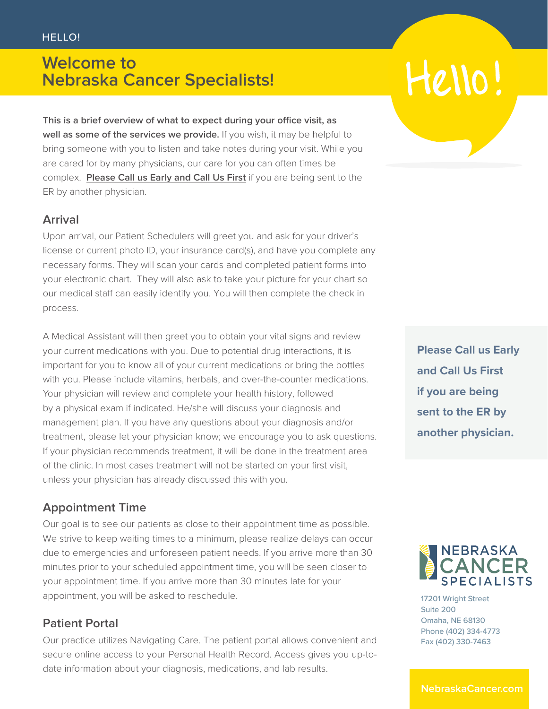## **Welcome to Nebraska Cancer Specialists!**

**This is a brief overview of what to expect during your office visit, as well as some of the services we provide.** If you wish, it may be helpful to bring someone with you to listen and take notes during your visit. While you are cared for by many physicians, our care for you can often times be complex. **Please Call us Early and Call Us First** if you are being sent to the ER by another physician.

#### **Arrival**

Upon arrival, our Patient Schedulers will greet you and ask for your driver's license or current photo ID, your insurance card(s), and have you complete any necessary forms. They will scan your cards and completed patient forms into your electronic chart. They will also ask to take your picture for your chart so our medical staff can easily identify you. You will then complete the check in process.

A Medical Assistant will then greet you to obtain your vital signs and review your current medications with you. Due to potential drug interactions, it is important for you to know all of your current medications or bring the bottles with you. Please include vitamins, herbals, and over-the-counter medications. Your physician will review and complete your health history, followed by a physical exam if indicated. He/she will discuss your diagnosis and management plan. If you have any questions about your diagnosis and/or treatment, please let your physician know; we encourage you to ask questions. If your physician recommends treatment, it will be done in the treatment area of the clinic. In most cases treatment will not be started on your first visit, unless your physician has already discussed this with you.

#### **Appointment Time**

Our goal is to see our patients as close to their appointment time as possible. We strive to keep waiting times to a minimum, please realize delays can occur due to emergencies and unforeseen patient needs. If you arrive more than 30 minutes prior to your scheduled appointment time, you will be seen closer to your appointment time. If you arrive more than 30 minutes late for your appointment, you will be asked to reschedule.

#### **Patient Portal**

Our practice utilizes Navigating Care. The patient portal allows convenient and secure online access to your Personal Health Record. Access gives you up-todate information about your diagnosis, medications, and lab results.

# Hello

**Please Call us Early and Call Us First if you are being sent to the ER by another physician.**



17201 Wright Street Suite 200 Omaha, NE 68130 Phone (402) 334-4773 Fax (402) 330-7463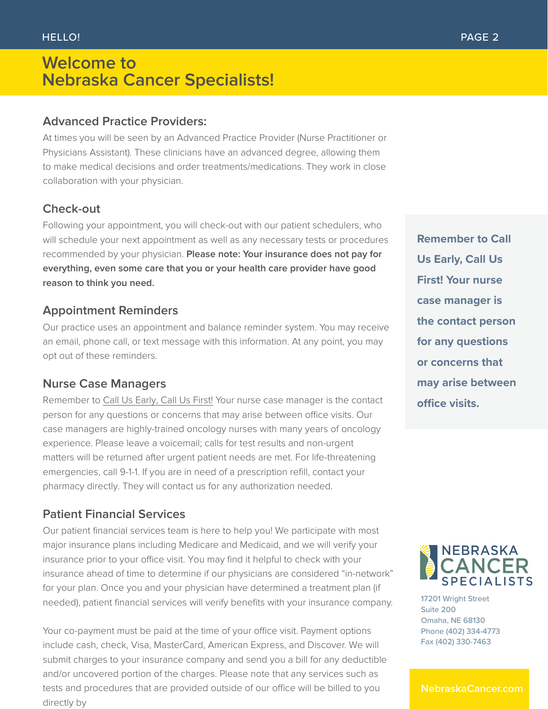### **Welcome to Nebraska Cancer Specialists!**

#### **Advanced Practice Providers:**

At times you will be seen by an Advanced Practice Provider (Nurse Practitioner or Physicians Assistant). These clinicians have an advanced degree, allowing them to make medical decisions and order treatments/medications. They work in close collaboration with your physician.

#### **Check-out**

Following your appointment, you will check-out with our patient schedulers, who will schedule your next appointment as well as any necessary tests or procedures recommended by your physician. **Please note: Your insurance does not pay for everything, even some care that you or your health care provider have good reason to think you need.** 

#### **Appointment Reminders**

Our practice uses an appointment and balance reminder system. You may receive an email, phone call, or text message with this information. At any point, you may opt out of these reminders.

#### **Nurse Case Managers**

Remember to Call Us Early, Call Us First! Your nurse case manager is the contact person for any questions or concerns that may arise between office visits. Our case managers are highly-trained oncology nurses with many years of oncology experience. Please leave a voicemail; calls for test results and non-urgent matters will be returned after urgent patient needs are met. For life-threatening emergencies, call 9-1-1. If you are in need of a prescription refill, contact your pharmacy directly. They will contact us for any authorization needed.

#### **Patient Financial Services**

Our patient financial services team is here to help you! We participate with most major insurance plans including Medicare and Medicaid, and we will verify your insurance prior to your office visit. You may find it helpful to check with your insurance ahead of time to determine if our physicians are considered "in-network" for your plan. Once you and your physician have determined a treatment plan (if needed), patient financial services will verify benefits with your insurance company.

Your co-payment must be paid at the time of your office visit. Payment options include cash, check, Visa, MasterCard, American Express, and Discover. We will submit charges to your insurance company and send you a bill for any deductible and/or uncovered portion of the charges. Please note that any services such as tests and procedures that are provided outside of our office will be billed to you directly by

**Remember to Call Us Early, Call Us First! Your nurse case manager is the contact person for any questions or concerns that may arise between office visits.**



17201 Wright Street Suite 200 Omaha, NE 68130 Phone (402) 334-4773 Fax (402) 330-7463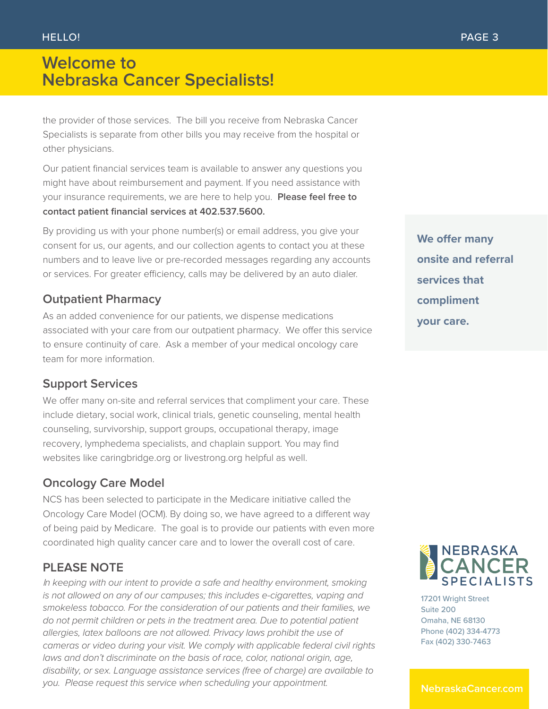## **Welcome to Nebraska Cancer Specialists!**

the provider of those services. The bill you receive from Nebraska Cancer Specialists is separate from other bills you may receive from the hospital or other physicians.

Our patient financial services team is available to answer any questions you might have about reimbursement and payment. If you need assistance with your insurance requirements, we are here to help you. **Please feel free to contact patient financial services at 402.537.5600.** 

By providing us with your phone number(s) or email address, you give your consent for us, our agents, and our collection agents to contact you at these numbers and to leave live or pre-recorded messages regarding any accounts or services. For greater efficiency, calls may be delivered by an auto dialer.

#### **Outpatient Pharmacy**

As an added convenience for our patients, we dispense medications associated with your care from our outpatient pharmacy. We offer this service to ensure continuity of care. Ask a member of your medical oncology care team for more information.

#### **Support Services**

We offer many on-site and referral services that compliment your care. These include dietary, social work, clinical trials, genetic counseling, mental health counseling, survivorship, support groups, occupational therapy, image recovery, lymphedema specialists, and chaplain support. You may find websites like caringbridge.org or livestrong.org helpful as well.

#### **Oncology Care Model**

NCS has been selected to participate in the Medicare initiative called the Oncology Care Model (OCM). By doing so, we have agreed to a different way of being paid by Medicare. The goal is to provide our patients with even more coordinated high quality cancer care and to lower the overall cost of care.

#### **PLEASE NOTE**

<sup>I</sup>*n keeping with our intent to provide a safe and healthy environment, smoking is not allowed on any of our campuses; this includes e-cigarettes, vaping and smokeless tobacco. For the consideration of our patients and their families, we do not permit children or pets in the treatment area. Due to potential patient allergies, latex balloons are not allowed. Privacy laws prohibit the use of cameras or video during your visit. We comply with applicable federal civil rights*  laws and don't discriminate on the basis of race, color, national origin, age, *disability, or sex. Language assistance services (free of charge) are available to you. Please request this service when scheduling your appointment.* 

**We offer many onsite and referral services that compliment your care.**



17201 Wright Street Suite 200 Omaha, NE 68130 Phone (402) 334-4773 Fax (402) 330-7463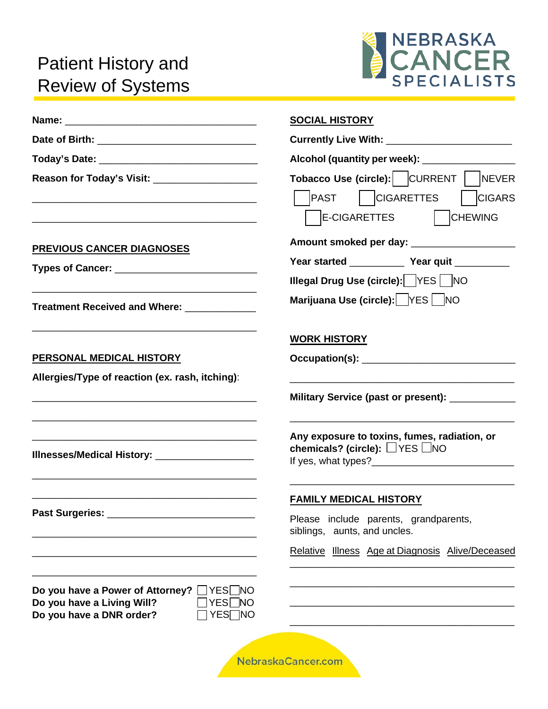# Patient History and Review of Systems



|                                                                                                                             | <b>SOCIAL HISTORY</b>                                                                                              |
|-----------------------------------------------------------------------------------------------------------------------------|--------------------------------------------------------------------------------------------------------------------|
|                                                                                                                             |                                                                                                                    |
|                                                                                                                             |                                                                                                                    |
| Reason for Today's Visit: _____________________                                                                             | Tobacco Use (circle): CURRENT   NEVER<br>  CIGARETTES<br><b>PAST</b><br><b>CIGARS</b><br>E-CIGARETTES<br>  CHEWING |
| <b>PREVIOUS CANCER DIAGNOSES</b>                                                                                            | Amount smoked per day: _____________________                                                                       |
|                                                                                                                             | Year started ______________ Year quit ___________                                                                  |
|                                                                                                                             | <b>Illegal Drug Use (circle):</b> YES   NO                                                                         |
| Treatment Received and Where: _____________                                                                                 | Marijuana Use (circle): YES   NO                                                                                   |
|                                                                                                                             | <b>WORK HISTORY</b>                                                                                                |
| PERSONAL MEDICAL HISTORY                                                                                                    |                                                                                                                    |
| Allergies/Type of reaction (ex. rash, itching):                                                                             |                                                                                                                    |
| <u> 1989 - Johann John Stone, markin sanat masjid a shekara ta 1989 - An tsara ta 1989 - An tsara ta 1989 - An tsa</u>      | Military Service (past or present): _____________                                                                  |
| Illnesses/Medical History: ____________________                                                                             | Any exposure to toxins, fumes, radiation, or<br>chemicals? (circle): $\Box$ YES $\Box$ NO                          |
|                                                                                                                             | <b>FAMILY MEDICAL HISTORY</b>                                                                                      |
|                                                                                                                             | Please include parents, grandparents,<br>siblings, aunts, and uncles.                                              |
|                                                                                                                             | Relative Illness Age at Diagnosis Alive/Deceased                                                                   |
| Do you have a Power of Attorney?<br>_∏YES∐NO<br>]YES∏NO<br>Do you have a Living Will?<br>Do you have a DNR order?<br>YES∏NO |                                                                                                                    |
|                                                                                                                             | NebraskaCancer.com                                                                                                 |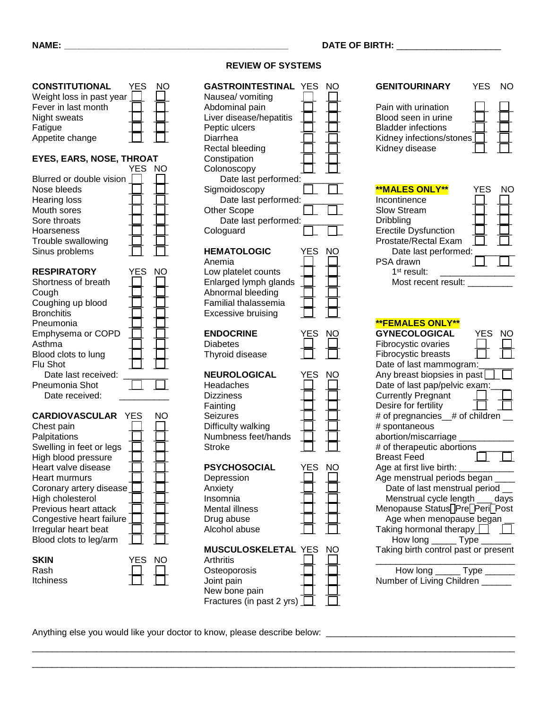#### **CONSTITUTIONAL** YES NO Weight loss in past year  $\bigsqcup \quad \bigsqcup$ Fever in last month  $\Box$   $\Box$ Night sweats Fatigue Appetite change

#### **EYES, EARS, NOSE, THROAT**

| Blurred or double vision<br>Nose bleeds<br><b>Hearing loss</b><br>Mouth sores<br>Sore throats<br>Hoarseness                                                                                                                            | YES | NΟ  |
|----------------------------------------------------------------------------------------------------------------------------------------------------------------------------------------------------------------------------------------|-----|-----|
| Trouble swallowing<br>Sinus problems                                                                                                                                                                                                   |     |     |
| <b>RESPIRATORY</b><br>Shortness of breath<br>Cough<br>Coughing up blood<br><b>Bronchitis</b><br>Pneumonia<br>Emphysema or COPD<br>Asthma<br>Blood clots to lung<br>Flu Shot<br>Date last received:<br>Pneumonia Shot<br>Date received: | YES | NC  |
| CARDIOVASCIII<br>ΔR                                                                                                                                                                                                                    |     | חוח |

| Chest pain               |     |  |
|--------------------------|-----|--|
| Palpitations             |     |  |
| Swelling in feet or legs |     |  |
| High blood pressure      |     |  |
| Heart valve disease      |     |  |
| Heart murmurs            |     |  |
| Coronary artery disease  |     |  |
| High cholesterol         |     |  |
| Previous heart attack    |     |  |
| Congestive heart failure |     |  |
| Irregular heart beat     |     |  |
| Blood clots to leg/arm   |     |  |
|                          | YES |  |

| YES NU |  |
|--------|--|
|        |  |
|        |  |
|        |  |

#### **REVIEW OF SYSTEMS**

| <b>GASTROINTESTINAL</b><br>Nausea/ vomiting<br>Abdominal pain<br>Liver disease/hepatitis<br>Peptic ulcers<br>Diarrhea<br>Rectal bleeding<br>Constipation<br>Colonoscopy<br>Date last performed:<br>Sigmoidoscopy<br>Date last performed:<br>Other Scope<br>Date last performed:<br>Cologuard | YES      | NC |
|----------------------------------------------------------------------------------------------------------------------------------------------------------------------------------------------------------------------------------------------------------------------------------------------|----------|----|
| <b>HEMATOLOGIC</b><br>Anemia<br>Low platelet counts<br>Enlarged lymph glands<br>Abnormal bleeding<br><b>Familial thalassemia</b><br><b>Excessive bruising</b>                                                                                                                                | YES      | NC |
| <b>ENDOCRINE</b><br><b>Diabetes</b><br>Thyroid disease                                                                                                                                                                                                                                       | YES      | NC |
| <b>NEUROLOGICAL</b><br>Headaches<br><b>Dizziness</b><br>Fainting<br>Seizures<br>Difficulty walking<br>Numbness feet/hands<br>Stroke                                                                                                                                                          | YES      | NC |
| <b>PSYCHOSOCIAL</b><br>Depression<br>Anxiety<br>Insomnia<br><b>Mental illness</b><br>Drug abuse<br>Alcohol abuse                                                                                                                                                                             | YES<br>L | NC |
| MUSCULOSKELETAL<br><b>Arthritis</b><br>Osteoporosis<br>Joint pain<br>New bone pain<br>Fractures (in past 2 yrs)                                                                                                                                                                              | YES      | NC |

\_\_\_\_\_\_\_\_\_\_\_\_\_\_\_\_\_\_\_\_\_\_\_\_\_\_\_\_\_\_\_\_\_\_\_\_\_\_\_\_\_\_\_\_\_\_\_\_\_\_\_\_\_\_\_\_\_\_\_\_\_\_\_\_\_\_\_\_\_\_\_\_\_\_\_\_\_\_\_\_\_\_\_\_\_\_\_\_\_\_\_\_\_\_\_\_\_ \_\_\_\_\_\_\_\_\_\_\_\_\_\_\_\_\_\_\_\_\_\_\_\_\_\_\_\_\_\_\_\_\_\_\_\_\_\_\_\_\_\_\_\_\_\_\_\_\_\_\_\_\_\_\_\_\_\_\_\_\_\_\_\_\_\_\_\_\_\_\_\_\_\_\_\_\_\_\_\_\_\_\_\_\_\_\_\_\_\_\_\_\_\_\_\_\_

| <b>GENITOURINARY</b>                                                                                                                                                                                                   | YES | NΟ |
|------------------------------------------------------------------------------------------------------------------------------------------------------------------------------------------------------------------------|-----|----|
| Pain with urination<br>Blood seen in urine<br><b>Bladder infections</b><br>Kidney infections/stones<br>Kidney disease                                                                                                  |     |    |
| <b>**MALES ONLY**</b><br>Incontinence<br><b>Slow Stream</b><br>Dribbling<br><b>Erectile Dysfunction</b><br>Prostate/Rectal Exam<br>Date last performed:<br>PSA drawn<br>1 <sup>st</sup> result:<br>Most recent result: | YES | NΟ |
| <b>**FEMALES ONLY**</b><br><b>GYNECOLOGICAL</b>                                                                                                                                                                        |     |    |
| Fibrocystic ovaries                                                                                                                                                                                                    | YES | NC |
| <b>Fibrocystic breasts</b>                                                                                                                                                                                             |     |    |
| Date of last mammogram:                                                                                                                                                                                                |     |    |
| Any breast biopsies in past<br>Date of last pap/pelvic exam:                                                                                                                                                           |     |    |
| <b>Currently Pregnant</b>                                                                                                                                                                                              |     |    |
|                                                                                                                                                                                                                        |     |    |
|                                                                                                                                                                                                                        |     |    |
| Desire for fertility                                                                                                                                                                                                   |     |    |
| # of pregnancies_# of children<br># spontaneous                                                                                                                                                                        |     |    |
| abortion/miscarriage                                                                                                                                                                                                   |     |    |
| # of therapeutic abortions                                                                                                                                                                                             |     |    |
| <b>Breast Feed</b>                                                                                                                                                                                                     |     |    |
| Age at first live birth:                                                                                                                                                                                               |     |    |
| Age menstrual periods began                                                                                                                                                                                            |     |    |
| Date of last menstrual period _                                                                                                                                                                                        |     |    |
| Menstrual cycle length ____days<br>Menopause Status <sup>[Dre]</sup> Peri <sup>[Dost</sup>                                                                                                                             |     |    |
| Age when menopause began                                                                                                                                                                                               |     |    |
| Taking hormonal therapy                                                                                                                                                                                                |     |    |
| How long ______ Type ______                                                                                                                                                                                            |     |    |
| Taking birth control past or present                                                                                                                                                                                   |     |    |
| How long ______ Type ______<br>Number of Living Children ______                                                                                                                                                        |     |    |

Anything else you would like your doctor to know, please describe below: \_\_\_\_\_\_\_\_\_\_\_\_\_\_\_\_\_\_\_\_\_\_\_\_\_\_\_\_\_\_\_\_\_\_\_\_\_\_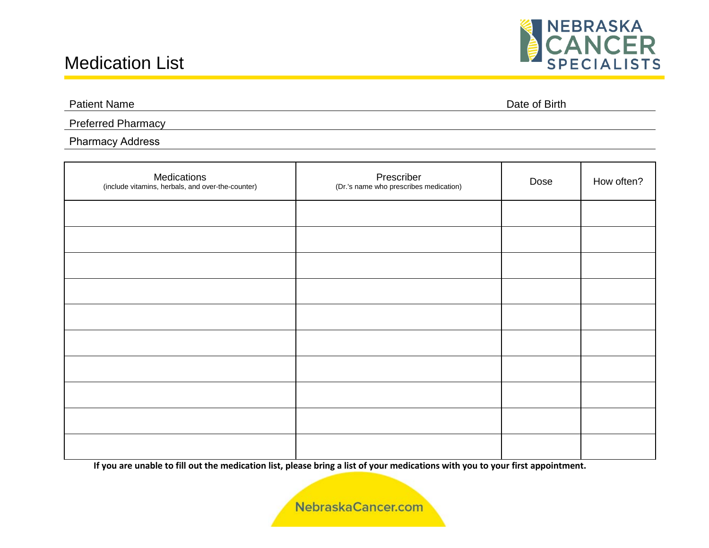## Medication List



Patient Name Date of Birth

Preferred Pharmacy

#### Pharmacy Address

| Medications<br>(include vitamins, herbals, and over-the-counter) | Prescriber<br>(Dr.'s name who prescribes medication) | Dose | How often? |
|------------------------------------------------------------------|------------------------------------------------------|------|------------|
|                                                                  |                                                      |      |            |
|                                                                  |                                                      |      |            |
|                                                                  |                                                      |      |            |
|                                                                  |                                                      |      |            |
|                                                                  |                                                      |      |            |
|                                                                  |                                                      |      |            |
|                                                                  |                                                      |      |            |
|                                                                  |                                                      |      |            |
|                                                                  |                                                      |      |            |
|                                                                  |                                                      |      |            |

**If you are unable to fill out the medication list, please bring a list of your medications with you to your first appointment.**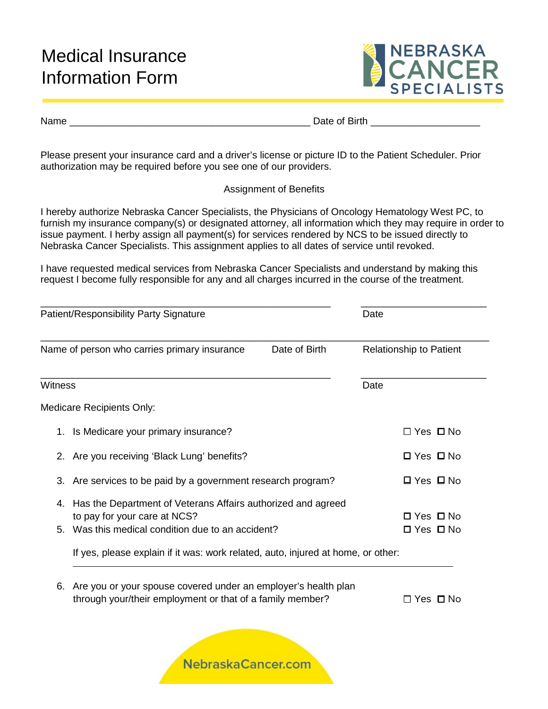## Medical Insurance Information Form



Name \_\_\_\_\_\_\_\_\_\_\_\_\_\_\_\_\_\_\_\_\_\_\_\_\_\_\_\_\_\_\_\_\_\_\_\_\_\_\_\_\_\_\_\_ Date of Birth \_\_\_\_\_\_\_\_\_\_\_\_\_\_\_\_\_\_\_\_

Please present your insurance card and a driver's license or picture ID to the Patient Scheduler. Prior authorization may be required before you see one of our providers.

#### Assignment of Benefits

I hereby authorize Nebraska Cancer Specialists, the Physicians of Oncology Hematology West PC, to furnish my insurance company(s) or designated attorney, all information which they may require in order to issue payment. I herby assign all payment(s) for services rendered by NCS to be issued directly to Nebraska Cancer Specialists. This assignment applies to all dates of service until revoked.

I have requested medical services from Nebraska Cancer Specialists and understand by making this request I become fully responsible for any and all charges incurred in the course of the treatment.

| Patient/Responsibility Party Signature<br>Name of person who carries primary insurance<br>Date of Birth |                                                                                                                             | Date                           |                      |
|---------------------------------------------------------------------------------------------------------|-----------------------------------------------------------------------------------------------------------------------------|--------------------------------|----------------------|
|                                                                                                         |                                                                                                                             | <b>Relationship to Patient</b> |                      |
| Witness                                                                                                 |                                                                                                                             |                                | Date                 |
|                                                                                                         | Medicare Recipients Only:                                                                                                   |                                |                      |
|                                                                                                         | 1. Is Medicare your primary insurance?                                                                                      |                                | $\Box$ Yes $\Box$ No |
|                                                                                                         | 2. Are you receiving 'Black Lung' benefits?                                                                                 |                                | $\Box$ Yes $\Box$ No |
|                                                                                                         | 3. Are services to be paid by a government research program?                                                                |                                | $\Box$ Yes $\Box$ No |
| 4.                                                                                                      | Has the Department of Veterans Affairs authorized and agreed                                                                |                                | $\Box$ Yes $\Box$ No |
|                                                                                                         | to pay for your care at NCS?<br>Was this medical condition due to an accident?<br>5.                                        |                                | $\Box$ Yes $\Box$ No |
|                                                                                                         | If yes, please explain if it was: work related, auto, injured at home, or other:                                            |                                |                      |
|                                                                                                         |                                                                                                                             |                                |                      |
| 6.                                                                                                      | Are you or your spouse covered under an employer's health plan<br>through your/their employment or that of a family member? |                                | $\Box$ Yes $\Box$ No |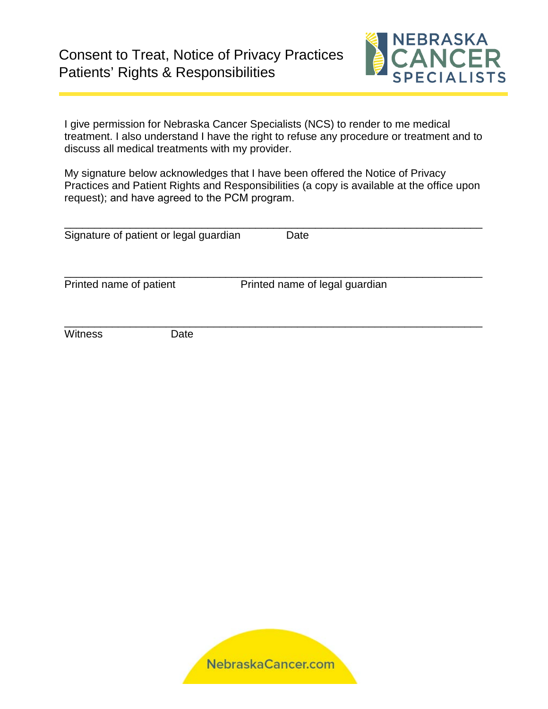

I give permission for Nebraska Cancer Specialists (NCS) to render to me medical treatment. I also understand I have the right to refuse any procedure or treatment and to discuss all medical treatments with my provider.

My signature below acknowledges that I have been offered the Notice of Privacy Practices and Patient Rights and Responsibilities (a copy is available at the office upon request); and have agreed to the PCM program.

|                         | Signature of patient or legal guardian | Date                           |  |
|-------------------------|----------------------------------------|--------------------------------|--|
| Printed name of patient |                                        | Printed name of legal guardian |  |
| Witness                 | Date                                   |                                |  |